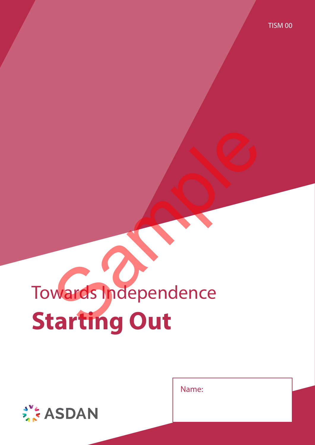# Towards Independence **Starting Out** Wards Independence

Name:

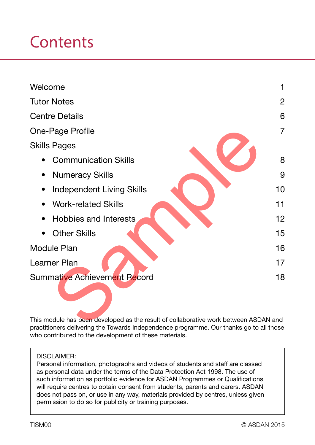# **Contents**

| Welcome                                                                                 |    |  |  |  |  |
|-----------------------------------------------------------------------------------------|----|--|--|--|--|
| <b>Tutor Notes</b>                                                                      |    |  |  |  |  |
| <b>Centre Details</b>                                                                   |    |  |  |  |  |
| <b>One-Page Profile</b>                                                                 |    |  |  |  |  |
| <b>Skills Pages</b>                                                                     |    |  |  |  |  |
| <b>Communication Skills</b>                                                             | 8  |  |  |  |  |
| <b>Numeracy Skills</b><br>$\bullet$                                                     | 9  |  |  |  |  |
| <b>Independent Living Skills</b>                                                        | 10 |  |  |  |  |
| <b>Work-related Skills</b>                                                              | 11 |  |  |  |  |
| <b>Hobbies and Interests</b><br>$\bullet$                                               | 12 |  |  |  |  |
| <b>Other Skills</b>                                                                     | 15 |  |  |  |  |
| <b>Module Plan</b>                                                                      |    |  |  |  |  |
| Learner Plan<br>17                                                                      |    |  |  |  |  |
| <b>Summative Achievement Record</b><br>18                                               |    |  |  |  |  |
|                                                                                         |    |  |  |  |  |
| This module has been developed as the result of collaborative work between ASDAN and    |    |  |  |  |  |
| prostitioners delivering the Tewerds Independence programme. Our thenks go to all these |    |  |  |  |  |

This module has been developed as the result of collaborative work between ASDAN and practitioners delivering the Towards Independence programme. Our thanks go to all those who contributed to the development of these materials.

#### DISCLAIMER:

Personal information, photographs and videos of students and staff are classed as personal data under the terms of the Data Protection Act 1998. The use of such information as portfolio evidence for ASDAN Programmes or Qualifications will require centres to obtain consent from students, parents and carers. ASDAN does not pass on, or use in any way, materials provided by centres, unless given permission to do so for publicity or training purposes.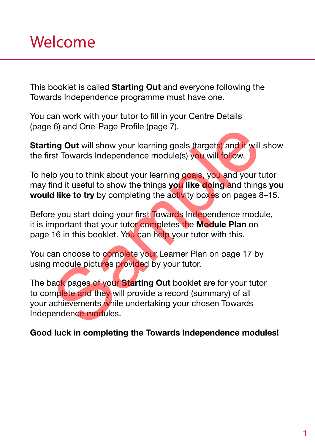This booklet is called Starting Out and everyone following the Towards Independence programme must have one.

You can work with your tutor to fill in your Centre Details (page 6) and One-Page Profile (page 7).

Starting Out will show your learning goals (targets) and it will show the first Towards Independence module(s) you will follow.

To help you to think about your learning goals, you and your tutor may find it useful to show the things you like doing and things you would like to try by completing the activity boxes on pages 8–15.

Before you start doing your first Towards Independence module, it is important that your tutor completes the Module Plan on page 16 in this booklet. You can help your tutor with this.

You can choose to complete your Learner Plan on page 17 by using module pictures provided by your tutor.

The back pages of your **Starting Out** booklet are for your tutor to complete and they will provide a record (summary) of all your achievements while undertaking your chosen Towards Independence modules. ing Out will show your learning goals (targets) and it will<br>star Towards Independence module(s) you will follow.<br>Ip you to think about your learning goals, you and your tu<br>ind it useful to show the things you like doing an

#### Good luck in completing the Towards Independence modules!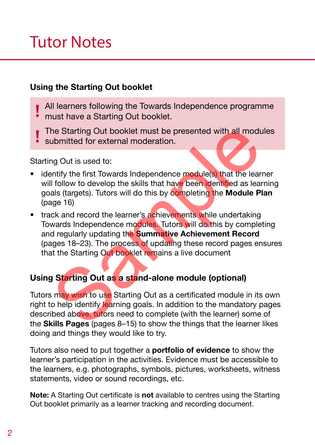# Tutor Notes

#### Using the Starting Out booklet

- All learners following the Towards Independence programme must have a Starting Out booklet.
- The Starting Out booklet must be presented with all modules
- submitted for external moderation.

Starting Out is used to:

- identify the first Towards Independence module(s) that the learner will follow to develop the skills that have been identified as learning goals (targets). Tutors will do this by completing the Module Plan (page 16)
- track and record the learner's achievements while undertaking Towards Independence modules. Tutors will do this by completing and regularly updating the Summative Achievement Record (pages 18–23). The process of updating these record pages ensures that the Starting Out booklet remains a live document the Starting Out booklet must be presented with all modu<br>
ubmitted for external moderation.<br>
Ing Out is used to:<br>
Infly the first Towards Independence module(s) that the lear<br>
If follow to develop the skills that have been

### Using Starting Out as a stand-alone module (optional)

Tutors may wish to use Starting Out as a certificated module in its own right to help identify learning goals. In addition to the mandatory pages described above, tutors need to complete (with the learner) some of the Skills Pages (pages 8–15) to show the things that the learner likes doing and things they would like to try.

Tutors also need to put together a **portfolio of evidence** to show the learner's participation in the activities. Evidence must be accessible to the learners, e.g. photographs, symbols, pictures, worksheets, witness statements, video or sound recordings, etc.

Note: A Starting Out certificate is not available to centres using the Starting Out booklet primarily as a learner tracking and recording document.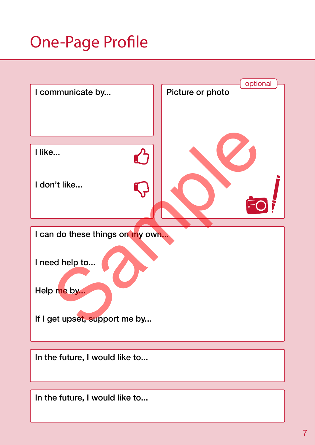# One-Page Profile



In the future, I would like to...

In the future, I would like to...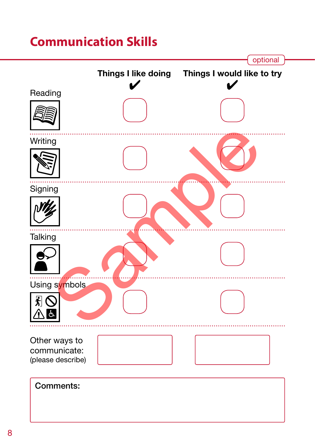## **Communication Skills**

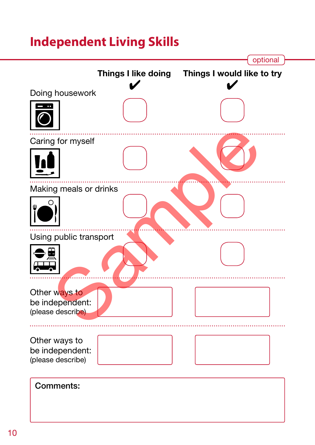# **Independent Living Skills**

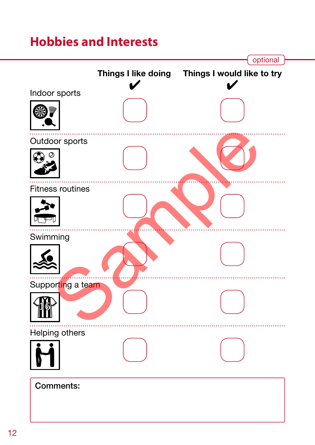## **Hobbies and Interests**

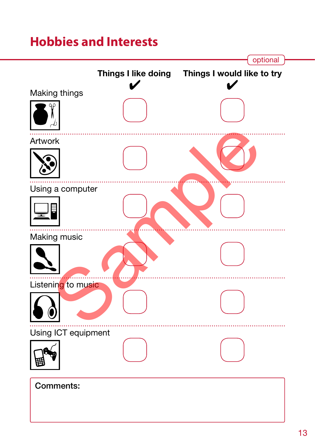## **Hobbies and Interests**

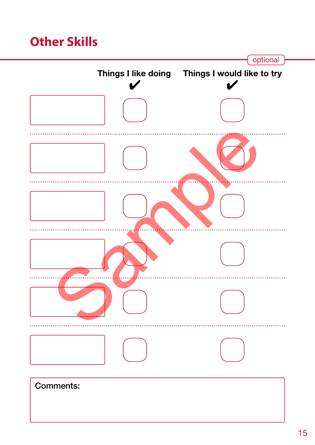## **Other Skills**

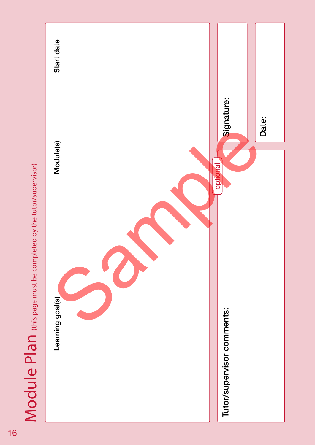

Module Plan (this page must be completed by the tutor/supervisor)  $\mathsf{Mod}$  de  $\mathsf{Pal}$  (this page must be completed by the tutor/supervisor)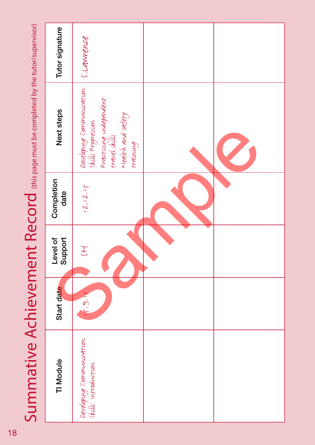|        | Tutor signature     | s. Lawrence                                                                                                                |  |
|--------|---------------------|----------------------------------------------------------------------------------------------------------------------------|--|
| י<br>- | Next steps          | Developing Communication<br>skills Progression<br>Practising independent<br>travel skills<br>Health and safety<br>training |  |
|        | Completion<br>date  | (2.12.15)                                                                                                                  |  |
|        | Level of<br>Support | H                                                                                                                          |  |
|        |                     |                                                                                                                            |  |
|        | Start date          | 15.9.1                                                                                                                     |  |
|        | TI Module           | Developing Communication<br>skills: introduction                                                                           |  |

Summative Achievement Record (this page must be completed by the tutor/supervisor) Summative Achievement Record (this page must be completed by the tutor/supervisor)